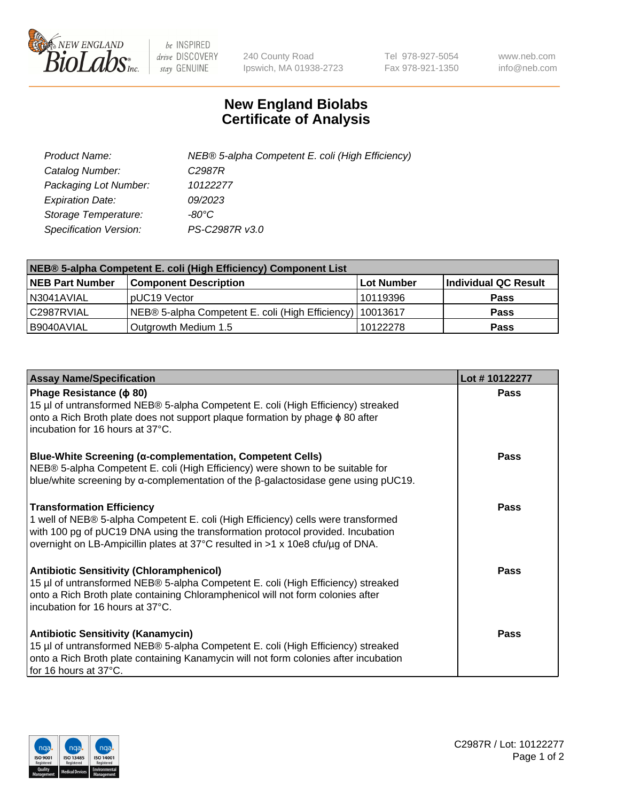

 $be$  INSPIRED drive DISCOVERY stay GENUINE

240 County Road Ipswich, MA 01938-2723 Tel 978-927-5054 Fax 978-921-1350 www.neb.com info@neb.com

## **New England Biolabs Certificate of Analysis**

| Product Name:                 | NEB® 5-alpha Competent E. coli (High Efficiency) |
|-------------------------------|--------------------------------------------------|
| Catalog Number:               | C <sub>2987</sub> R                              |
| Packaging Lot Number:         | 10122277                                         |
| <b>Expiration Date:</b>       | 09/2023                                          |
| Storage Temperature:          | -80°C                                            |
| <b>Specification Version:</b> | PS-C2987R v3.0                                   |

| NEB® 5-alpha Competent E. coli (High Efficiency) Component List |                                                             |            |                      |  |
|-----------------------------------------------------------------|-------------------------------------------------------------|------------|----------------------|--|
| <b>NEB Part Number</b>                                          | <b>Component Description</b>                                | Lot Number | Individual QC Result |  |
| N3041AVIAL                                                      | pUC19 Vector                                                | 10119396   | <b>Pass</b>          |  |
| C2987RVIAL                                                      | NEB® 5-alpha Competent E. coli (High Efficiency)   10013617 |            | <b>Pass</b>          |  |
| B9040AVIAL                                                      | Outgrowth Medium 1.5                                        | 10122278   | <b>Pass</b>          |  |

| <b>Assay Name/Specification</b>                                                                                                                                                                                                                                                            | Lot #10122277 |
|--------------------------------------------------------------------------------------------------------------------------------------------------------------------------------------------------------------------------------------------------------------------------------------------|---------------|
| Phage Resistance ( $\phi$ 80)<br>15 µl of untransformed NEB® 5-alpha Competent E. coli (High Efficiency) streaked<br>onto a Rich Broth plate does not support plaque formation by phage φ 80 after<br>incubation for 16 hours at 37°C.                                                     | <b>Pass</b>   |
| <b>Blue-White Screening (α-complementation, Competent Cells)</b><br>NEB® 5-alpha Competent E. coli (High Efficiency) were shown to be suitable for<br>blue/white screening by $\alpha$ -complementation of the $\beta$ -galactosidase gene using pUC19.                                    | Pass          |
| <b>Transformation Efficiency</b><br>1 well of NEB® 5-alpha Competent E. coli (High Efficiency) cells were transformed<br>with 100 pg of pUC19 DNA using the transformation protocol provided. Incubation<br>overnight on LB-Ampicillin plates at 37°C resulted in >1 x 10e8 cfu/µg of DNA. | Pass          |
| <b>Antibiotic Sensitivity (Chloramphenicol)</b><br>15 µl of untransformed NEB® 5-alpha Competent E. coli (High Efficiency) streaked<br>onto a Rich Broth plate containing Chloramphenicol will not form colonies after<br>incubation for 16 hours at 37°C.                                 | <b>Pass</b>   |
| <b>Antibiotic Sensitivity (Kanamycin)</b><br>15 µl of untransformed NEB® 5-alpha Competent E. coli (High Efficiency) streaked<br>onto a Rich Broth plate containing Kanamycin will not form colonies after incubation<br>for 16 hours at 37°C.                                             | Pass          |